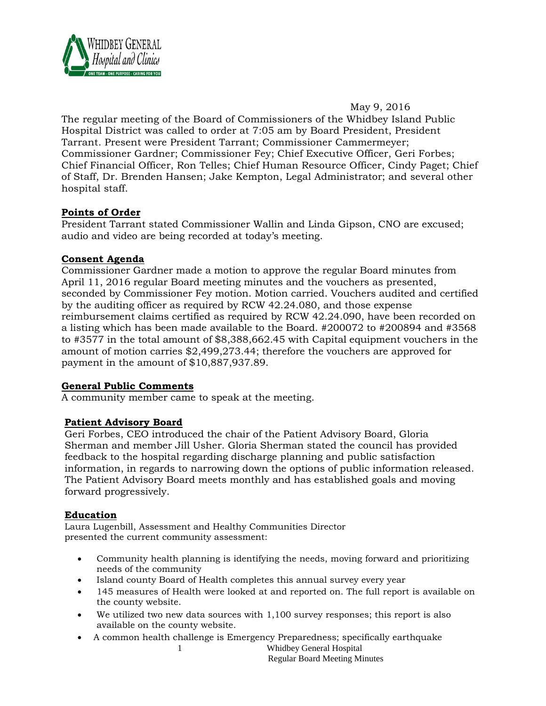

May 9, 2016

The regular meeting of the Board of Commissioners of the Whidbey Island Public Hospital District was called to order at 7:05 am by Board President, President Tarrant. Present were President Tarrant; Commissioner Cammermeyer; Commissioner Gardner; Commissioner Fey; Chief Executive Officer, Geri Forbes; Chief Financial Officer, Ron Telles; Chief Human Resource Officer, Cindy Paget; Chief of Staff, Dr. Brenden Hansen; Jake Kempton, Legal Administrator; and several other hospital staff.

# **Points of Order**

President Tarrant stated Commissioner Wallin and Linda Gipson, CNO are excused; audio and video are being recorded at today's meeting.

## **Consent Agenda**

Commissioner Gardner made a motion to approve the regular Board minutes from April 11, 2016 regular Board meeting minutes and the vouchers as presented, seconded by Commissioner Fey motion. Motion carried. Vouchers audited and certified by the auditing officer as required by RCW 42.24.080, and those expense reimbursement claims certified as required by RCW 42.24.090, have been recorded on a listing which has been made available to the Board. #200072 to #200894 and #3568 to #3577 in the total amount of \$8,388,662.45 with Capital equipment vouchers in the amount of motion carries \$2,499,273.44; therefore the vouchers are approved for payment in the amount of \$10,887,937.89.

## **General Public Comments**

A community member came to speak at the meeting.

## **Patient Advisory Board**

Geri Forbes, CEO introduced the chair of the Patient Advisory Board, Gloria Sherman and member Jill Usher. Gloria Sherman stated the council has provided feedback to the hospital regarding discharge planning and public satisfaction information, in regards to narrowing down the options of public information released. The Patient Advisory Board meets monthly and has established goals and moving forward progressively.

# **Education**

Laura Lugenbill, Assessment and Healthy Communities Director presented the current community assessment:

- Community health planning is identifying the needs, moving forward and prioritizing needs of the community
- Island county Board of Health completes this annual survey every year
- 145 measures of Health were looked at and reported on. The full report is available on the county website.
- We utilized two new data sources with 1,100 survey responses; this report is also available on the county website.
- A common health challenge is Emergency Preparedness; specifically earthquake

1 Whidbey General Hospital Regular Board Meeting Minutes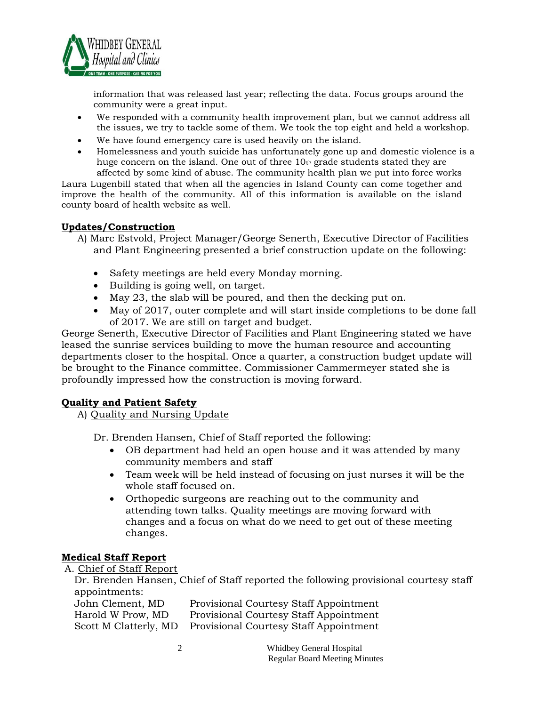

information that was released last year; reflecting the data. Focus groups around the community were a great input.

- We responded with a community health improvement plan, but we cannot address all the issues, we try to tackle some of them. We took the top eight and held a workshop.
- We have found emergency care is used heavily on the island.
- Homelessness and youth suicide has unfortunately gone up and domestic violence is a huge concern on the island. One out of three  $10<sub>t<sub>0</sub></sub>$  grade students stated they are affected by some kind of abuse. The community health plan we put into force works

Laura Lugenbill stated that when all the agencies in Island County can come together and improve the health of the community. All of this information is available on the island county board of health website as well.

## **Updates/Construction**

- A) Marc Estvold, Project Manager/George Senerth, Executive Director of Facilities and Plant Engineering presented a brief construction update on the following:
	- Safety meetings are held every Monday morning.
	- Building is going well, on target.
	- May 23, the slab will be poured, and then the decking put on.
	- May of 2017, outer complete and will start inside completions to be done fall of 2017. We are still on target and budget.

George Senerth, Executive Director of Facilities and Plant Engineering stated we have leased the sunrise services building to move the human resource and accounting departments closer to the hospital. Once a quarter, a construction budget update will be brought to the Finance committee. Commissioner Cammermeyer stated she is profoundly impressed how the construction is moving forward.

## **Quality and Patient Safety**

A) Quality and Nursing Update

Dr. Brenden Hansen, Chief of Staff reported the following:

- OB department had held an open house and it was attended by many community members and staff
- Team week will be held instead of focusing on just nurses it will be the whole staff focused on.
- Orthopedic surgeons are reaching out to the community and attending town talks. Quality meetings are moving forward with changes and a focus on what do we need to get out of these meeting changes.

## **Medical Staff Report**

A. Chief of Staff Report

|               |  | Dr. Brenden Hansen, Chief of Staff reported the following provisional courtesy staff |
|---------------|--|--------------------------------------------------------------------------------------|
| appointments: |  |                                                                                      |

| John Clement, MD      | <b>Provisional Courtesy Staff Appointment</b> |
|-----------------------|-----------------------------------------------|
| Harold W Prow, MD     | <b>Provisional Courtesy Staff Appointment</b> |
| Scott M Clatterly, MD | <b>Provisional Courtesy Staff Appointment</b> |

| Whidbey General Hospital             |
|--------------------------------------|
| <b>Regular Board Meeting Minutes</b> |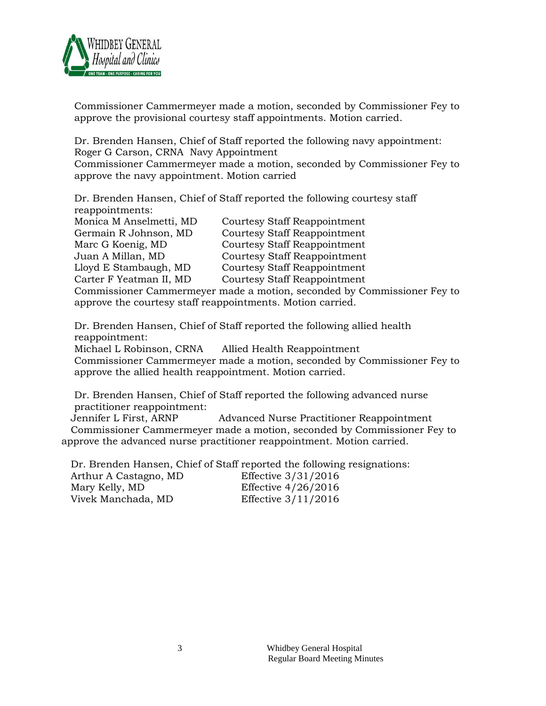

Commissioner Cammermeyer made a motion, seconded by Commissioner Fey to approve the provisional courtesy staff appointments. Motion carried.

Dr. Brenden Hansen, Chief of Staff reported the following navy appointment: Roger G Carson, CRNA Navy Appointment Commissioner Cammermeyer made a motion, seconded by Commissioner Fey to

approve the navy appointment. Motion carried

Dr. Brenden Hansen, Chief of Staff reported the following courtesy staff reappointments:

| Monica M Anselmetti, MD | <b>Courtesy Staff Reappointment</b> |
|-------------------------|-------------------------------------|
| Germain R Johnson, MD   | <b>Courtesy Staff Reappointment</b> |
| Marc G Koenig, MD       | Courtesy Staff Reappointment        |
| Juan A Millan, MD       | <b>Courtesy Staff Reappointment</b> |
| Lloyd E Stambaugh, MD   | Courtesy Staff Reappointment        |
| Carter F Yeatman II, MD | Courtesy Staff Reappointment        |
|                         | $\sim$ $\sim$ $\sim$ $\sim$ $\sim$  |

Commissioner Cammermeyer made a motion, seconded by Commissioner Fey to approve the courtesy staff reappointments. Motion carried.

Dr. Brenden Hansen, Chief of Staff reported the following allied health reappointment:

Michael L Robinson, CRNA Allied Health Reappointment Commissioner Cammermeyer made a motion, seconded by Commissioner Fey to approve the allied health reappointment. Motion carried.

Dr. Brenden Hansen, Chief of Staff reported the following advanced nurse practitioner reappointment:

 Jennifer L First, ARNP Advanced Nurse Practitioner Reappointment Commissioner Cammermeyer made a motion, seconded by Commissioner Fey to approve the advanced nurse practitioner reappointment. Motion carried.

Dr. Brenden Hansen, Chief of Staff reported the following resignations:

| Arthur A Castagno, MD | Effective 3/31/2016   |
|-----------------------|-----------------------|
| Mary Kelly, MD        | Effective $4/26/2016$ |
| Vivek Manchada, MD    | Effective $3/11/2016$ |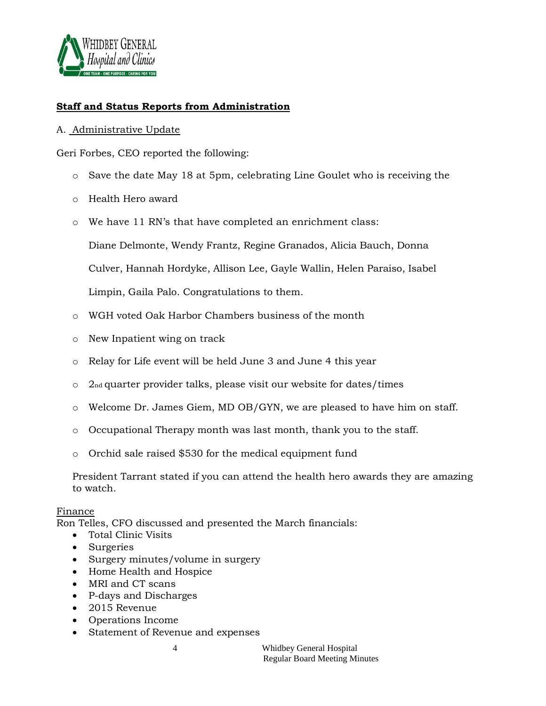

## **Staff and Status Reports from Administration**

## A. Administrative Update

Geri Forbes, CEO reported the following:

- o Save the date May 18 at 5pm, celebrating Line Goulet who is receiving the
- o Health Hero award
- o We have 11 RN's that have completed an enrichment class:

Diane Delmonte, Wendy Frantz, Regine Granados, Alicia Bauch, Donna

Culver, Hannah Hordyke, Allison Lee, Gayle Wallin, Helen Paraiso, Isabel

Limpin, Gaila Palo. Congratulations to them.

- o WGH voted Oak Harbor Chambers business of the month
- o New Inpatient wing on track
- o Relay for Life event will be held June 3 and June 4 this year
- o 2nd quarter provider talks, please visit our website for dates/times
- o Welcome Dr. James Giem, MD OB/GYN, we are pleased to have him on staff.
- o Occupational Therapy month was last month, thank you to the staff.
- o Orchid sale raised \$530 for the medical equipment fund

President Tarrant stated if you can attend the health hero awards they are amazing to watch.

#### Finance

Ron Telles, CFO discussed and presented the March financials:

- Total Clinic Visits
- Surgeries
- Surgery minutes/volume in surgery
- Home Health and Hospice
- MRI and CT scans
- P-days and Discharges
- 2015 Revenue
- Operations Income
- Statement of Revenue and expenses

4 Whidbey General Hospital Regular Board Meeting Minutes